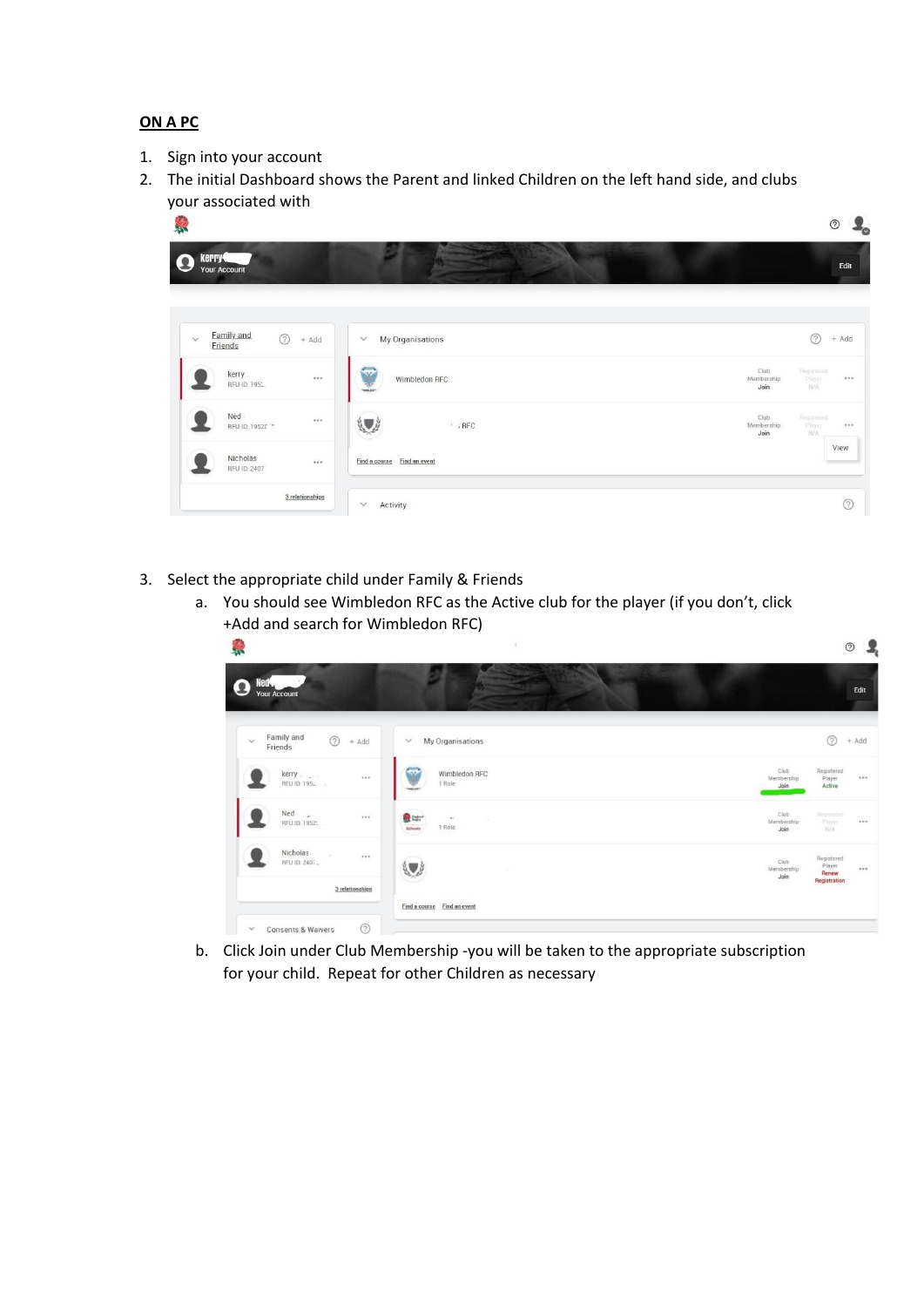## **ON A PC**

- 1. Sign into your account
- 2. The initial Dashboard shows the Parent and linked Children on the left hand side, and clubs your associated with



- 3. Select the appropriate child under Family & Friends
	- a. You should see Wimbledon RFC as the Active club for the player (if you don't, click +Add and search for Wimbledon RFC)



b. Click Join under Club Membership -you will be taken to the appropriate subscription for your child. Repeat for other Children as necessary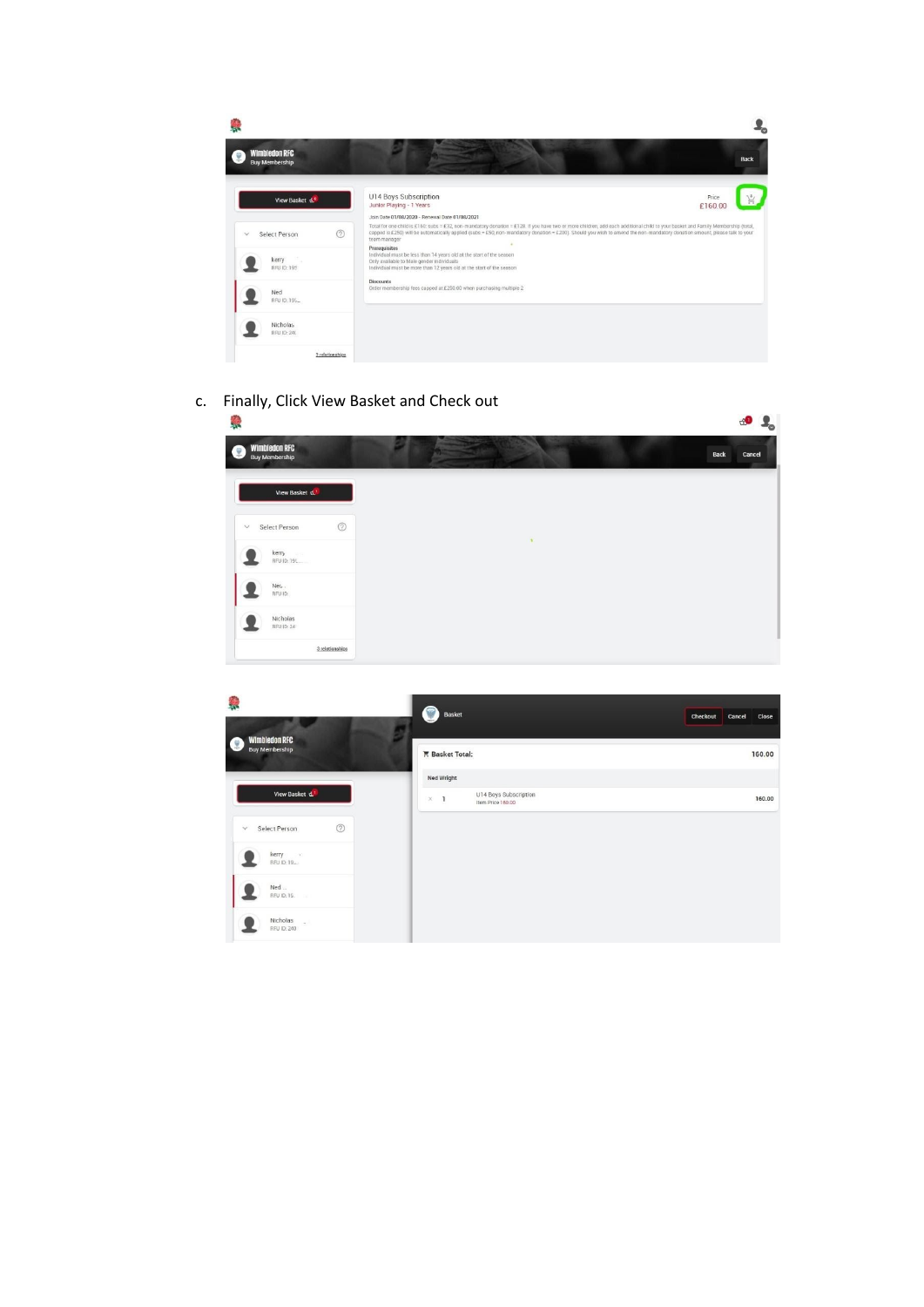| <b>Wimbledon RFC</b><br><b>Buy Membership</b> |                                                                                                                                                                                                                                                                                                                                                                                                                                  | <b>Back</b>      |
|-----------------------------------------------|----------------------------------------------------------------------------------------------------------------------------------------------------------------------------------------------------------------------------------------------------------------------------------------------------------------------------------------------------------------------------------------------------------------------------------|------------------|
| View Basket d.                                | U14 Boys Subscription<br>Junior Playing - 1 Years                                                                                                                                                                                                                                                                                                                                                                                | Price<br>£160.00 |
| ②<br>Select Person                            | Join Date 01/08/2020 - Renewal Date 01/08/2021<br>Total for one child is £160; subs = £32, non-mandatory donation = £128. If you have two or more children, add each additional child to your basket and Family Membership (total,<br>capped is £250) will be automatically applied (subs = £50, non-mandatory donation = £200). Should you wish to amend the non-mandatory donation amount, please talk to your<br>team manager |                  |
| kerry<br><b>BFU ID: 195</b>                   | Prerequisites<br>Individual must be less than 14 years old at the start of the season<br>Only available to Male gender individuals<br>Individual must be more than 12 years old at the start of the season                                                                                                                                                                                                                       |                  |
| Ned<br>RFU ID: 195                            | <b>Discounts</b><br>Order membership fees capped at £250.00 when purchasing multiple 2                                                                                                                                                                                                                                                                                                                                           |                  |
| <b>Nicholas</b><br>RFU ID: 240                |                                                                                                                                                                                                                                                                                                                                                                                                                                  |                  |
| 3 relationships                               |                                                                                                                                                                                                                                                                                                                                                                                                                                  |                  |

c. Finally, Click View Basket and Check out

| <b>A</b>                                            |   | $P_{\rm o}$<br>$\mathbf{A}$ |
|-----------------------------------------------------|---|-----------------------------|
| <b>Wimbledon RFC</b><br>ſ.<br><b>Buy Membership</b> |   | <b>Back</b><br>Cancel       |
| View Basket d.                                      |   |                             |
| $\odot$<br><b>Select Person</b><br>$\checkmark$     | ٠ |                             |
| kerry and<br>RFU ID: 191                            |   |                             |
| Neu.<br>RFU ID.                                     |   |                             |
| Nicholas<br>RFU ID: 24                              |   |                             |
| 3 relationships                                     |   |                             |

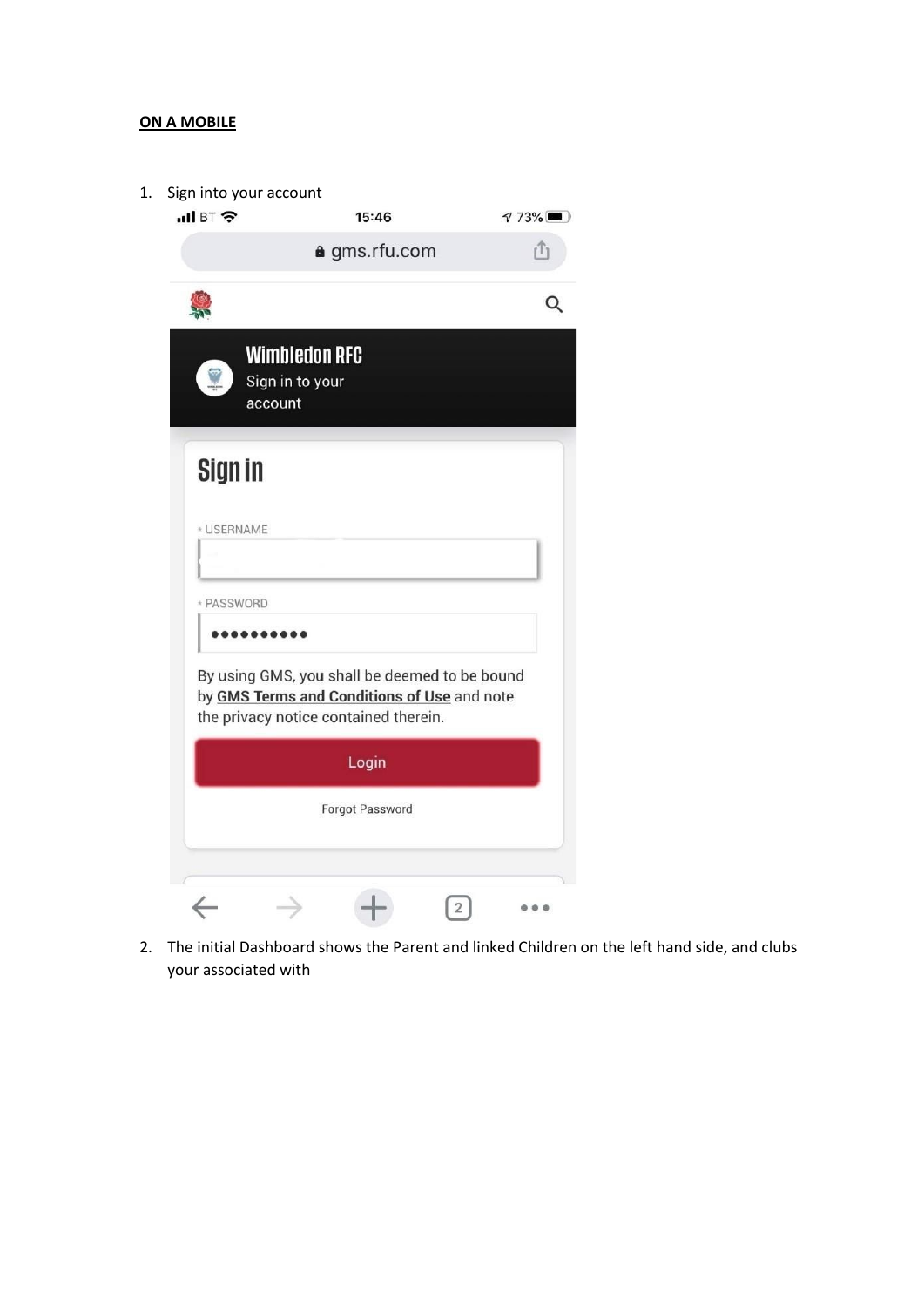## **ON A MOBILE**

| $\blacksquare$ BT $\widehat{\mathcal{F}}$<br>15:46<br>a gms.rfu.com<br><b>Wimbledon RFC</b><br>Sign in to your<br>account<br>Sign in<br><b>USERNAME</b><br>* PASSWORD<br>By using GMS, you shall be deemed to be bound<br>by GMS Terms and Conditions of Use and note<br>the privacy notice contained therein.<br>Login<br><b>Forgot Password</b> | 773% |  | Sign into your account |  |
|---------------------------------------------------------------------------------------------------------------------------------------------------------------------------------------------------------------------------------------------------------------------------------------------------------------------------------------------------|------|--|------------------------|--|
|                                                                                                                                                                                                                                                                                                                                                   |      |  |                        |  |
|                                                                                                                                                                                                                                                                                                                                                   |      |  |                        |  |
|                                                                                                                                                                                                                                                                                                                                                   |      |  |                        |  |
|                                                                                                                                                                                                                                                                                                                                                   |      |  |                        |  |
|                                                                                                                                                                                                                                                                                                                                                   |      |  |                        |  |
|                                                                                                                                                                                                                                                                                                                                                   |      |  |                        |  |
|                                                                                                                                                                                                                                                                                                                                                   |      |  |                        |  |
|                                                                                                                                                                                                                                                                                                                                                   |      |  |                        |  |
|                                                                                                                                                                                                                                                                                                                                                   |      |  |                        |  |
|                                                                                                                                                                                                                                                                                                                                                   |      |  |                        |  |
|                                                                                                                                                                                                                                                                                                                                                   |      |  |                        |  |
|                                                                                                                                                                                                                                                                                                                                                   |      |  |                        |  |
|                                                                                                                                                                                                                                                                                                                                                   |      |  |                        |  |
|                                                                                                                                                                                                                                                                                                                                                   |      |  |                        |  |

2. The initial Dashboard shows the Parent and linked Children on the left hand side, and clubs your associated with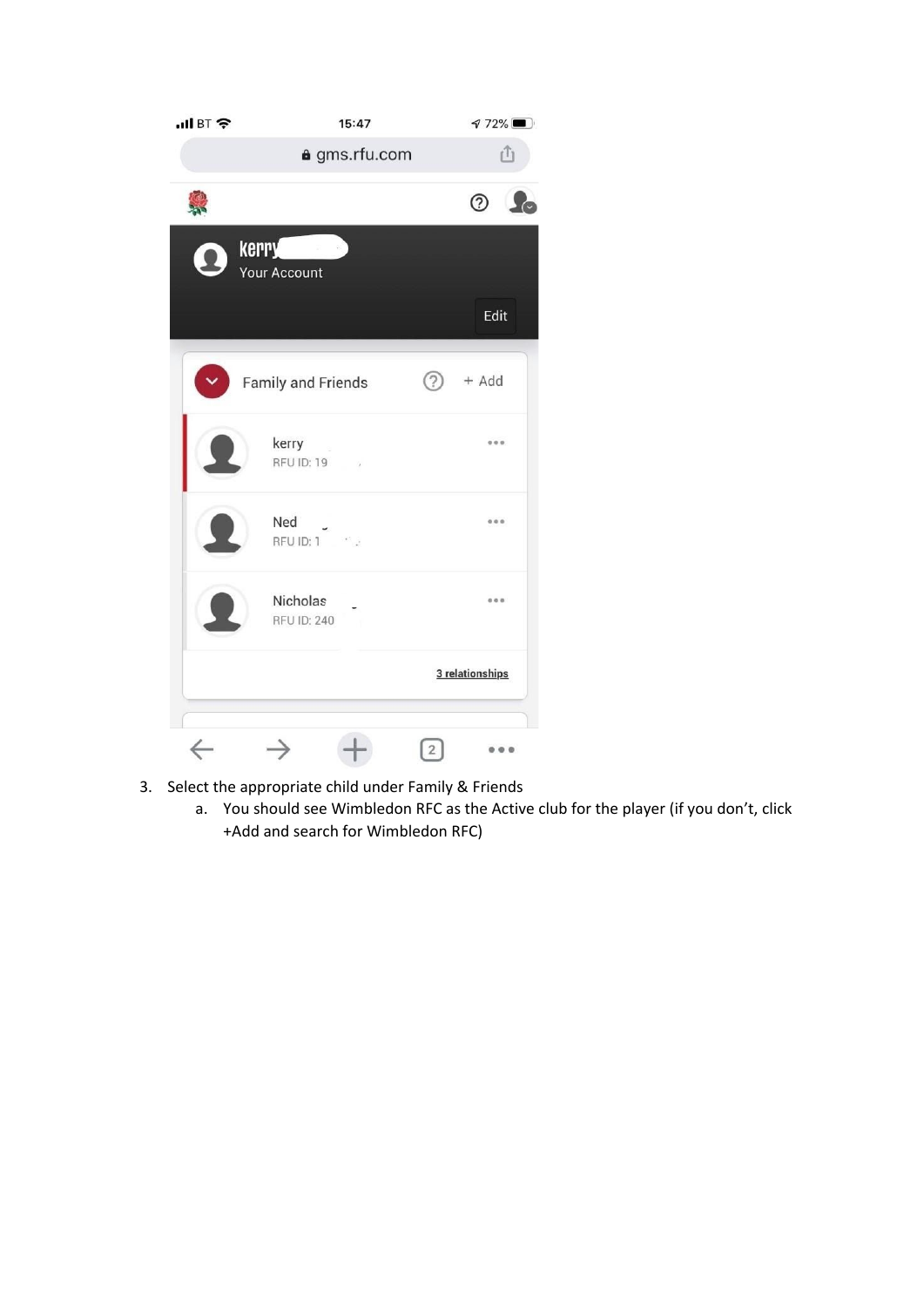| $\blacksquare$ BT $\widehat{\mathcal{F}}$ | 15:47                          | $772\%$                 |
|-------------------------------------------|--------------------------------|-------------------------|
|                                           | a gms.rfu.com                  | rî                      |
|                                           |                                | $\odot$ $\clubsuit$     |
|                                           | <b>Kerry</b><br>Your Account   |                         |
|                                           |                                | Edit                    |
|                                           | <b>Family and Friends</b>      | ②<br>+ Add              |
|                                           | kerry<br>RFU ID: 19            | 000                     |
|                                           | Ned<br>$RFU$ ID: $1$           | 000                     |
|                                           | Nicholas<br><b>RFU ID: 240</b> | 0.0.0                   |
|                                           |                                | 3 relationships         |
|                                           |                                | $\overline{\mathbf{c}}$ |

- 3. Select the appropriate child under Family & Friends
	- a. You should see Wimbledon RFC as the Active club for the player (if you don't, click +Add and search for Wimbledon RFC)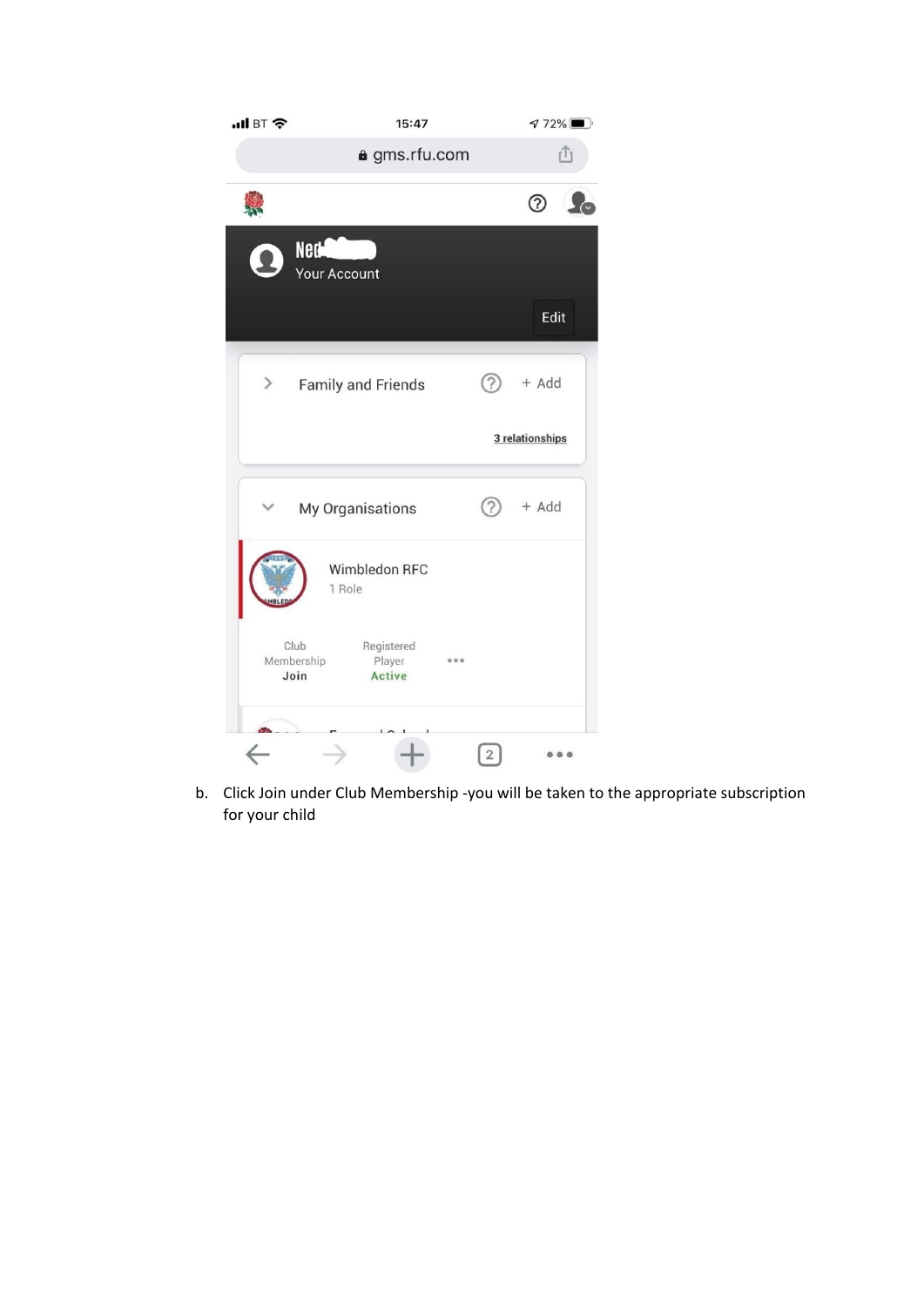

b. Click Join under Club Membership - you will be taken to the appropriate subscription f o r y o u r c hild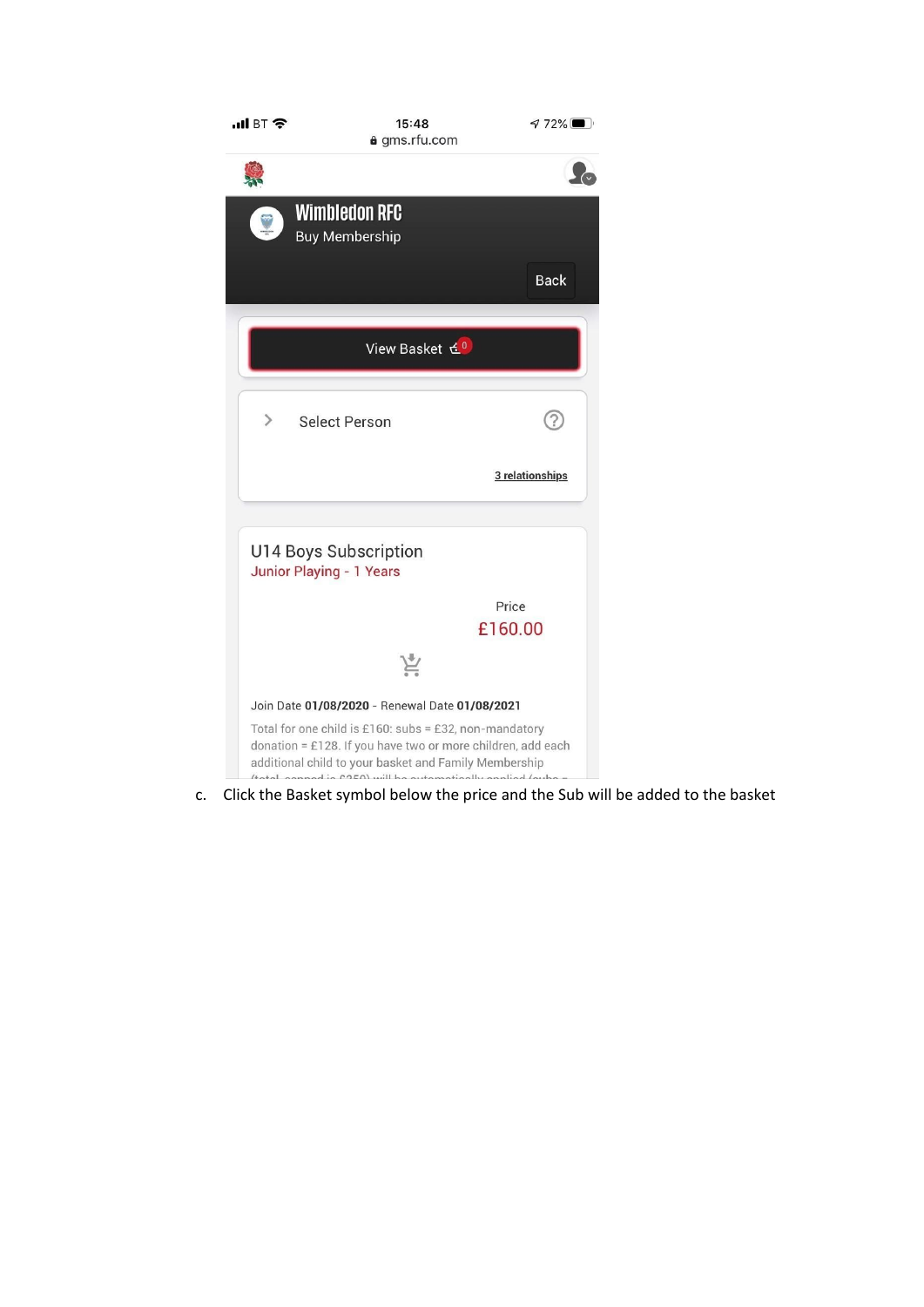

c. Click the Basket symbol below the price and the Sub will be added to the basket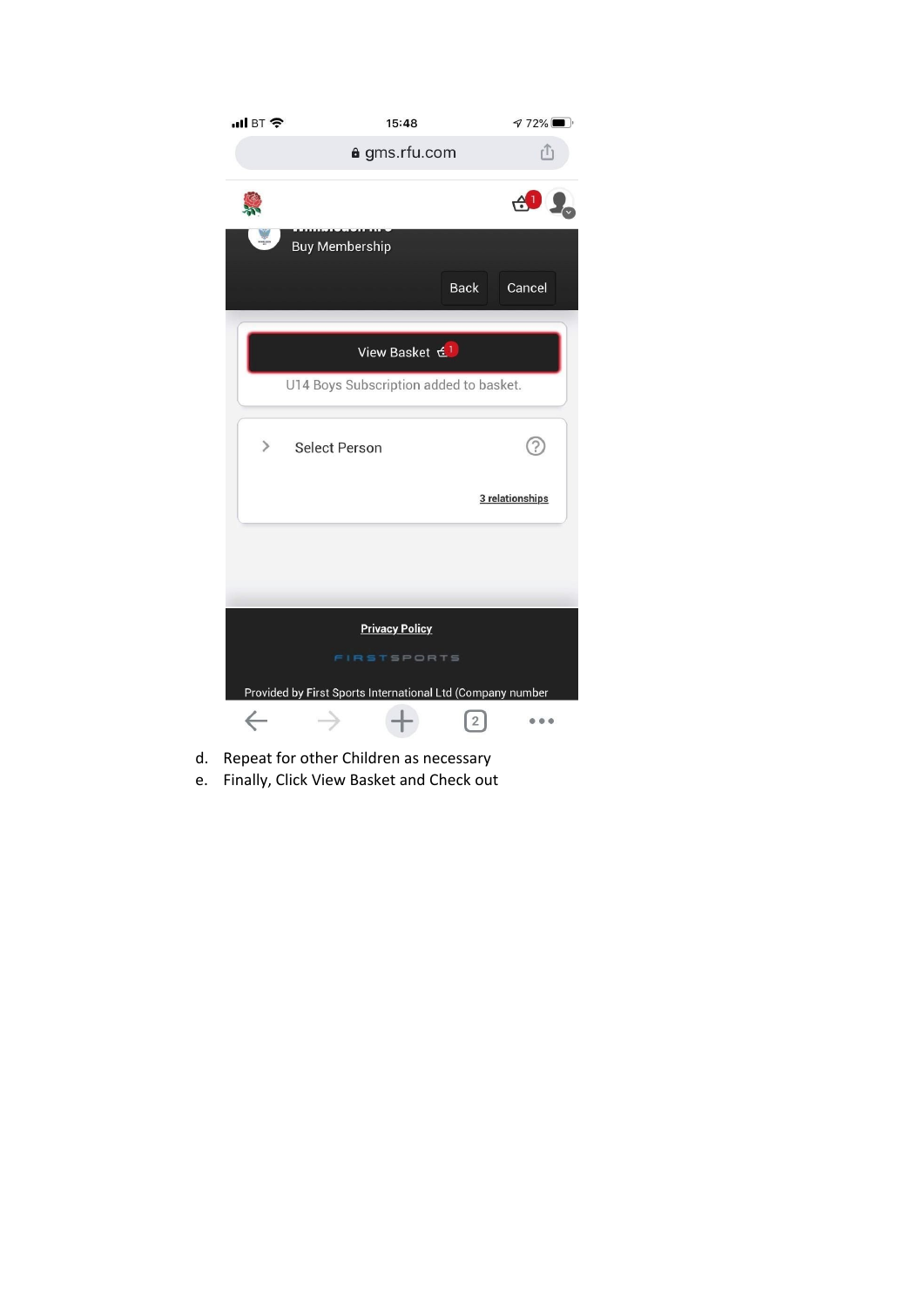

- d. Repeat for other Children as necessary
- e. Finally, Click View Basket and Check out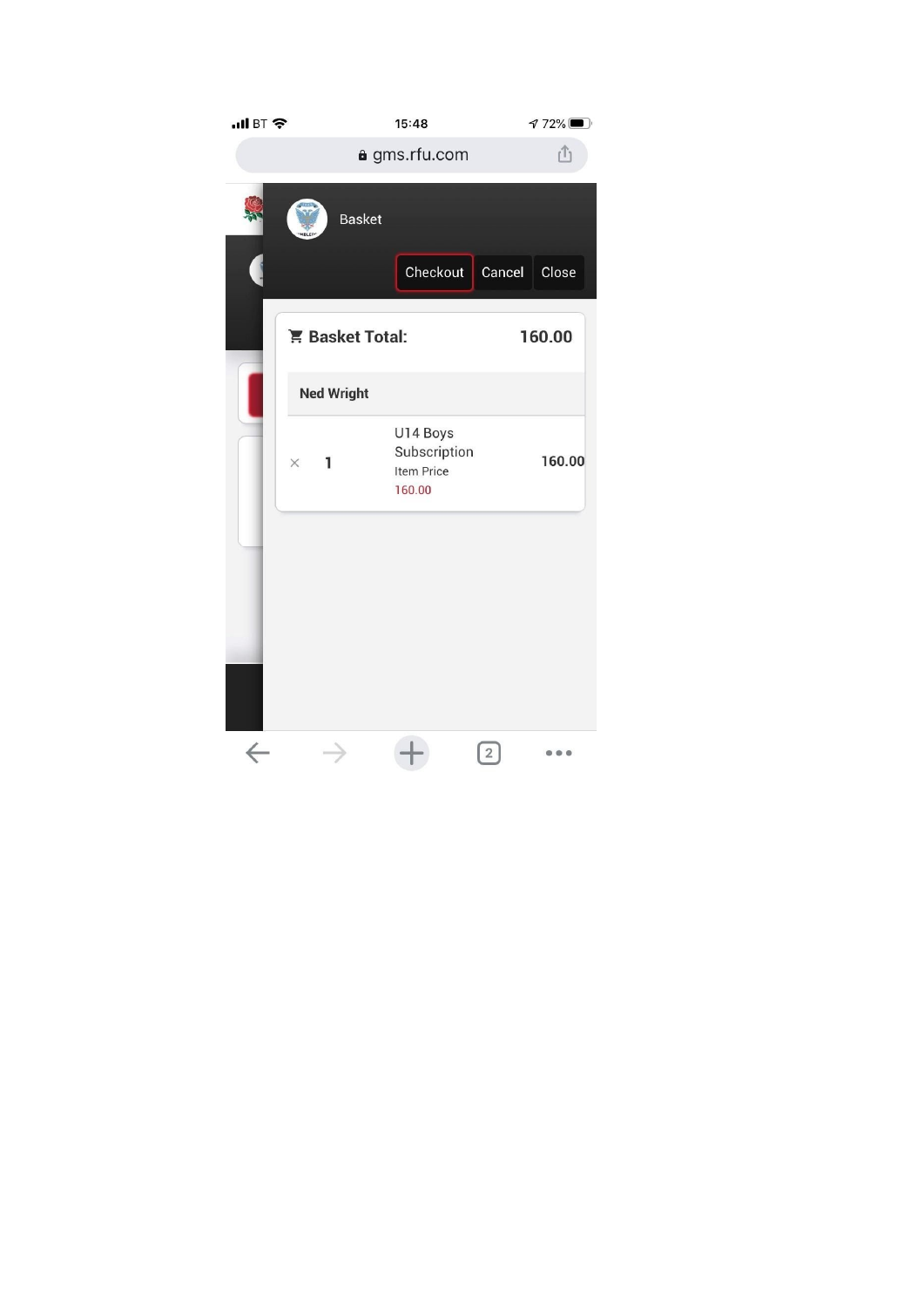